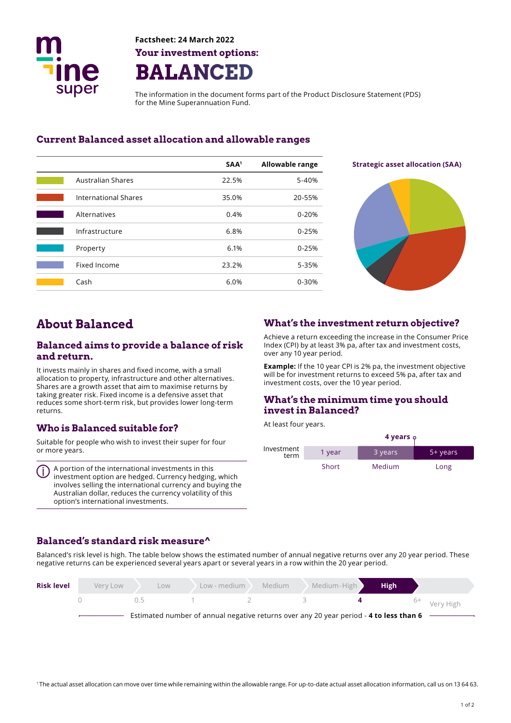

**Factsheet: 24 March 2022 Your investment options: BALANCED** 

The information in the document forms part of the Product Disclosure Statement (PDS) for the Mine Superannuation Fund.

## **Current Balanced asset allocation and allowable ranges**

|                             | SAA <sup>1</sup> | <b>Allowable range</b> |
|-----------------------------|------------------|------------------------|
| <b>Australian Shares</b>    | 22.5%            | 5-40%                  |
| <b>International Shares</b> | 35.0%            | 20-55%                 |
| Alternatives                | 0.4%             | $0 - 20%$              |
| Infrastructure              | 6.8%             | $0 - 25%$              |
| Property                    | 6.1%             | $0 - 25%$              |
| Fixed Income                | 23.2%            | 5-35%                  |
| Cash                        | 6.0%             | $0 - 30%$              |

**Strategic asset allocation (SAA)** 



# **About Balanced**

#### **Balanced aims to provide a balance of risk and return.**

It invests mainly in shares and fixed income, with a small allocation to property, infrastructure and other alternatives. Shares are a growth asset that aim to maximise returns by taking greater risk. Fixed income is a defensive asset that reduces some short-term risk, but provides lower long-term returns.

## **Who is Balanced suitable for?**

Suitable for people who wish to invest their super for four or more years.

A portion of the international investments in this investment option are hedged. Currency hedging, which involves selling the international currency and buying the Australian dollar, reduces the currency volatility of this option's international investments.

### **What's the investment return objective?**

Achieve a return exceeding the increase in the Consumer Price Index (CPI) by at least 3% pa, after tax and investment costs, over any 10 year period.

**Example:** If the 10 year CPI is 2% pa, the investment objective will be for investment returns to exceed 5% pa, after tax and investment costs, over the 10 year period.

### **What's the minimum time you should invest in Balanced?**

At least four years.

|                    | 4 years <b>ှ</b> |         |          |  |
|--------------------|------------------|---------|----------|--|
| Investment<br>term | 1 year           | 3 years | 5+ years |  |
|                    | Short            | Medium  | Long     |  |

### **Balanced's standard risk measure^**

Balanced's risk level is high. The table below shows the estimated number of annual negative returns over any 20 year period. These negative returns can be experienced several years apart or several years in a row within the 20 year period.

| <b>Risk level</b> | Very Low | Low   | Low - medium | Medium | Medium-High                                                                            | <b>High</b> |                         |
|-------------------|----------|-------|--------------|--------|----------------------------------------------------------------------------------------|-------------|-------------------------|
|                   |          | (1.5) |              |        |                                                                                        |             | <sup>6+</sup> Very High |
|                   |          |       |              |        | Estimated number of annual negative returns over any 20 year period - 4 to less than 6 |             |                         |